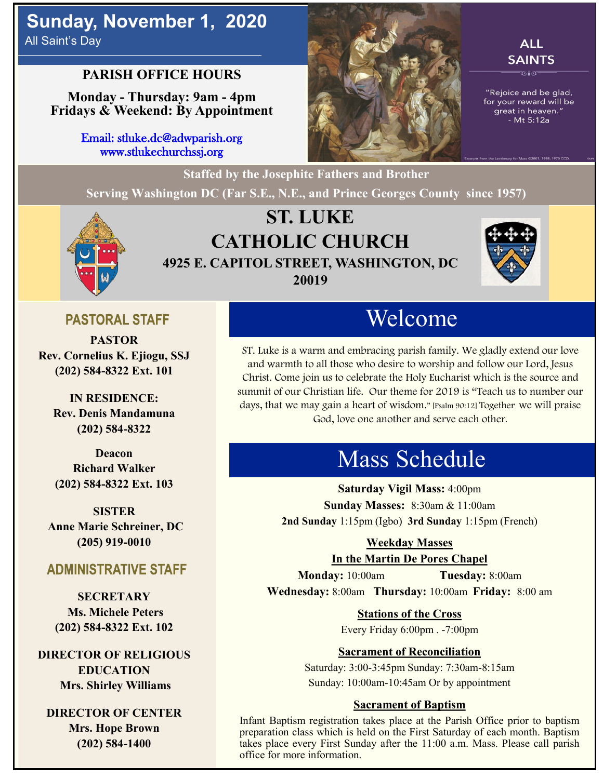## **Sunday, November 1, 2020** All Saint's Day

## **PARISH OFFICE HOURS**

**Monday - Thursday: 9am - 4pm Fridays & Weekend: By Appointment**

> Email: stluke.dc@adwparish.org www.stlukechurchssj.org



## **ALL SAINTS**

"Rejoice and be glad, for your reward will be great in heaven." - Mt 5:12a



## **ST. LUKE CATHOLIC CHURCH 4925 E. CAPITOL STREET, WASHINGTON, DC 20019**

**Serving Washington DC (Far S.E., N.E., and Prince Georges County since 1957)**



## **PASTORAL STAFF**

**PASTOR Rev. Cornelius K. Ejiogu, SSJ (202) 584-8322 Ext. 101**

**IN RESIDENCE: Rev. Denis Mandamuna (202) 584-8322** 

**Deacon Richard Walker (202) 584-8322 Ext. 103**

**SISTER Anne Marie Schreiner, DC (205) 919-0010**

### **ADMINISTRATIVE STAFF**

**SECRETARY Ms. Michele Peters (202) 584-8322 Ext. 102**

**DIRECTOR OF RELIGIOUS EDUCATION Mrs. Shirley Williams**

**DIRECTOR OF CENTER Mrs. Hope Brown (202) 584-1400**

# Welcome

ST. Luke is a warm and embracing parish family. We gladly extend our love and warmth to all those who desire to worship and follow our Lord, Jesus Christ. Come join us to celebrate the Holy Eucharist which is the source and summit of our Christian life. Our theme for 2019 is "Teach us to number our days, that we may gain a heart of wisdom." [Psalm 90:12] Together we will praise God, love one another and serve each other.

# Mass Schedule

**Saturday Vigil Mass:** 4:00pm **Sunday Masses:** 8:30am & 11:00am **2nd Sunday** 1:15pm (Igbo) **3rd Sunday** 1:15pm (French)

### **Weekday Masses**

**In the Martin De Pores Chapel**

**Monday:** 10:00am **Tuesday:** 8:00am **Wednesday:** 8:00am **Thursday:** 10:00am **Friday:** 8:00 am

**Stations of the Cross**

Every Friday 6:00pm . -7:00pm

### **Sacrament of Reconciliation**

Saturday: 3:00-3:45pm Sunday: 7:30am-8:15am Sunday: 10:00am-10:45am Or by appointment

### **Sacrament of Baptism**

Infant Baptism registration takes place at the Parish Office prior to baptism preparation class which is held on the First Saturday of each month. Baptism takes place every First Sunday after the 11:00 a.m. Mass. Please call parish office for more information.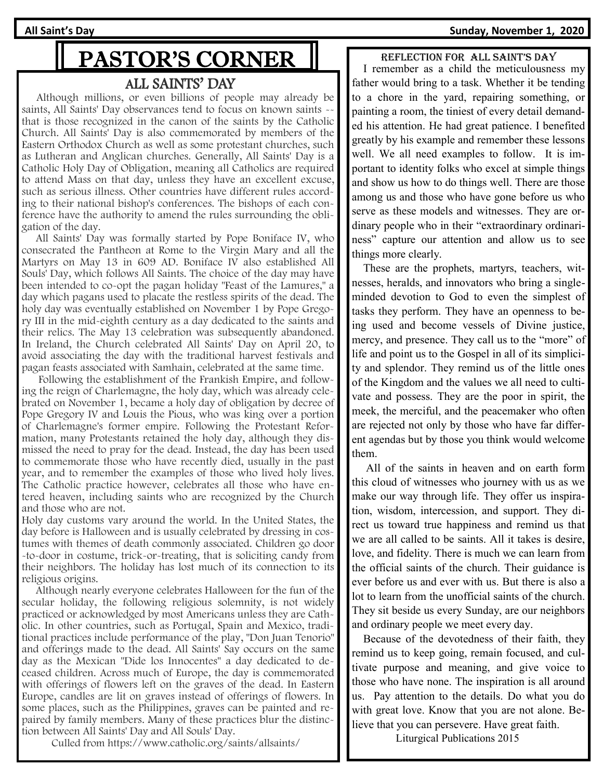**All Saint's Day Sunday, November 1, 2020**

# PASTOR'S CORNER

### ALL SAINTS' DAY

 Although millions, or even billions of people may already be saints, All Saints' Day observances tend to focus on known saints - that is those recognized in the canon of the saints by the Catholic Church. All Saints' Day is also commemorated by members of the Eastern Orthodox Church as well as some protestant churches, such as Lutheran and Anglican churches. Generally, All Saints' Day is a Catholic Holy Day of Obligation, meaning all Catholics are required to attend Mass on that day, unless they have an excellent excuse, such as serious illness. Other countries have different rules according to their national bishop's conferences. The bishops of each conference have the authority to amend the rules surrounding the obligation of the day.

 All Saints' Day was formally started by Pope Boniface IV, who consecrated the Pantheon at Rome to the Virgin Mary and all the Martyrs on May 13 in 609 AD. Boniface IV also established All Souls' Day, which follows All Saints. The choice of the day may have been intended to co-opt the pagan holiday "Feast of the Lamures," a day which pagans used to placate the restless spirits of the dead. The holy day was eventually established on November 1 by Pope Gregory III in the mid-eighth century as a day dedicated to the saints and their relics. The May 13 celebration was subsequently abandoned. In Ireland, the Church celebrated All Saints' Day on April 20, to avoid associating the day with the traditional harvest festivals and pagan feasts associated with Samhain, celebrated at the same time.

 Following the establishment of the Frankish Empire, and following the reign of Charlemagne, the holy day, which was already celebrated on November 1, became a holy day of obligation by decree of Pope Gregory IV and Louis the Pious, who was king over a portion of Charlemagne's former empire. Following the Protestant Reformation, many Protestants retained the holy day, although they dismissed the need to pray for the dead. Instead, the day has been used to commemorate those who have recently died, usually in the past year, and to remember the examples of those who lived holy lives. The Catholic practice however, celebrates all those who have entered heaven, including saints who are recognized by the Church and those who are not.

Holy day customs vary around the world. In the United States, the day before is Halloween and is usually celebrated by dressing in costumes with themes of death commonly associated. Children go door -to-door in costume, trick-or-treating, that is soliciting candy from their neighbors. The holiday has lost much of its connection to its religious origins.

 Although nearly everyone celebrates Halloween for the fun of the secular holiday, the following religious solemnity, is not widely practiced or acknowledged by most Americans unless they are Catholic. In other countries, such as Portugal, Spain and Mexico, traditional practices include performance of the play, "Don Juan Tenorio" and offerings made to the dead. All Saints' Say occurs on the same day as the Mexican "Dide los Innocentes" a day dedicated to deceased children. Across much of Europe, the day is commemorated with offerings of flowers left on the graves of the dead. In Eastern Europe, candles are lit on graves instead of offerings of flowers. In some places, such as the Philippines, graves can be painted and repaired by family members. Many of these practices blur the distinction between All Saints' Day and All Souls' Day.

Culled from https://www.catholic.org/saints/allsaints/

#### Reflection foR all saint's day

 I remember as a child the meticulousness my father would bring to a task. Whether it be tending to a chore in the yard, repairing something, or painting a room, the tiniest of every detail demanded his attention. He had great patience. I benefited greatly by his example and remember these lessons well. We all need examples to follow. It is important to identity folks who excel at simple things and show us how to do things well. There are those among us and those who have gone before us who serve as these models and witnesses. They are ordinary people who in their "extraordinary ordinariness" capture our attention and allow us to see things more clearly.

 These are the prophets, martyrs, teachers, witnesses, heralds, and innovators who bring a singleminded devotion to God to even the simplest of tasks they perform. They have an openness to being used and become vessels of Divine justice, mercy, and presence. They call us to the "more" of life and point us to the Gospel in all of its simplicity and splendor. They remind us of the little ones of the Kingdom and the values we all need to cultivate and possess. They are the poor in spirit, the meek, the merciful, and the peacemaker who often are rejected not only by those who have far different agendas but by those you think would welcome them.

 All of the saints in heaven and on earth form this cloud of witnesses who journey with us as we make our way through life. They offer us inspiration, wisdom, intercession, and support. They direct us toward true happiness and remind us that we are all called to be saints. All it takes is desire, love, and fidelity. There is much we can learn from the official saints of the church. Their guidance is ever before us and ever with us. But there is also a lot to learn from the unofficial saints of the church. They sit beside us every Sunday, are our neighbors and ordinary people we meet every day.

 Because of the devotedness of their faith, they remind us to keep going, remain focused, and cultivate purpose and meaning, and give voice to those who have none. The inspiration is all around us. Pay attention to the details. Do what you do with great love. Know that you are not alone. Believe that you can persevere. Have great faith.

Liturgical Publications 2015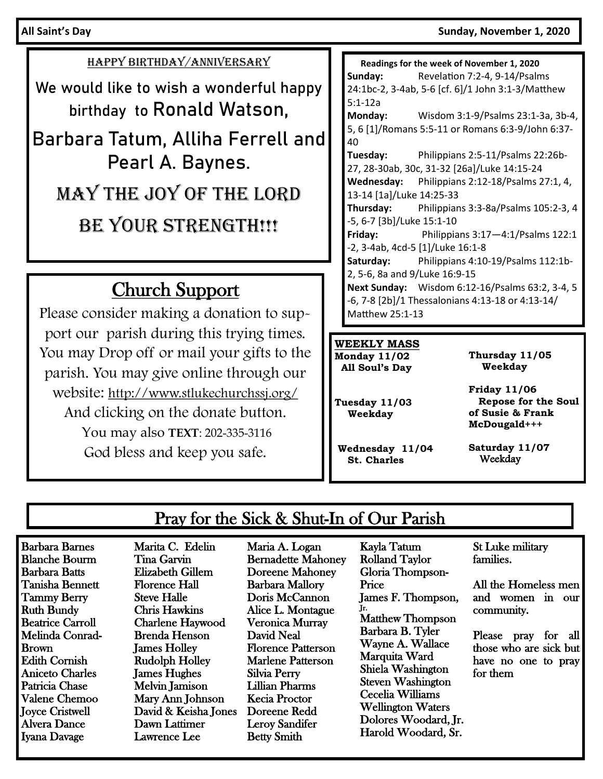### HAPPY BIRTHDAY/ANNIVERSARY

We would like to wish a wonderful happy birthday to Ronald Watson,

Barbara Tatum, Alliha Ferrell and Pearl A. Baynes. May the Joy of the Lord

BE YOUR STRENGTH!!!

## Church Support

Please consider making a donation to support our parish during this trying times. You may Drop off or mail your gifts to the parish. You may give online through our website: http://www.stlukechurchssj.org/ And clicking on the donate button. You may also **TEXT**: 202-335-3116 God bless and keep you safe.

 **Readings for the week of November 1, 2020 Sunday:** Revelation 7:2-4, 9-14/Psalms 24:1bc-2, 3-4ab, 5-6 [cf. 6]/1 John 3:1-3/Matthew 5:1-12a **Monday:** Wisdom 3:1-9/Psalms 23:1-3a, 3b-4, 5, 6 [1]/Romans 5:5-11 or Romans 6:3-9/John 6:37- 40 **Tuesday:** Philippians 2:5-11/Psalms 22:26b-27, 28-30ab, 30c, 31-32 [26a]/Luke 14:15-24 **Wednesday:** Philippians 2:12-18/Psalms 27:1, 4, 13-14 [1a]/Luke 14:25-33 **Thursday:** Philippians 3:3-8a/Psalms 105:2-3, 4 -5, 6-7 [3b]/Luke 15:1-10 **Friday:** Philippians 3:17—4:1/Psalms 122:1 -2, 3-4ab, 4cd-5 [1]/Luke 16:1-8 **Saturday:** Philippians 4:10-19/Psalms 112:1b-2, 5-6, 8a and 9/Luke 16:9-15 **Next Sunday:** Wisdom 6:12-16/Psalms 63:2, 3-4, 5 -6, 7-8 [2b]/1 Thessalonians 4:13-18 or 4:13-14/ Matthew 25:1-13

### **WEEKLY MASS**

**Monday 11/02 All Soul's Day** **Thursday 11/05 Weekday**

**Tuesday 11/03 Weekday**

**Wednesday 11/04 St. Charles**

**Friday 11/06 Repose for the Soul of Susie & Frank McDougald+++**

**Saturday 11/07** Weekday

## Pray for the Sick & Shut-In of Our Parish

Barbara Barnes Blanche Bourm Barbara Batts Tanisha Bennett Tammy Berry Ruth Bundy Beatrice Carroll Melinda Conrad-Brown Edith Cornish Aniceto Charles Patricia Chase Valene Chemoo Joyce Cristwell Alvera Dance Iyana Davage

Marita C. Edelin Tina Garvin Elizabeth Gillem Florence Hall Steve Halle Chris Hawkins Charlene Haywood Brenda Henson James Holley Rudolph Holley James Hughes Melvin Jamison Mary Ann Johnson David & Keisha Jones Dawn Lattimer Lawrence Lee

Maria A. Logan Bernadette Mahoney Doreene Mahoney Barbara Mallory Doris McCannon Alice L. Montague Veronica Murray David Neal Florence Patterson Marlene Patterson Silvia Perry Lillian Pharms Kecia Proctor Doreene Redd Leroy Sandifer Betty Smith

Kayla Tatum Rolland Taylor Gloria Thompson-**Price** James F. Thompson, Jr. Matthew Thompson Barbara B. Tyler Wayne A. Wallace Marquita Ward Shiela Washington Steven Washington Cecelia Williams Wellington Waters Dolores Woodard, Jr. Harold Woodard, Sr.

St Luke military families.

All the Homeless men and women in our community.

Please pray for all those who are sick but have no one to pray for them